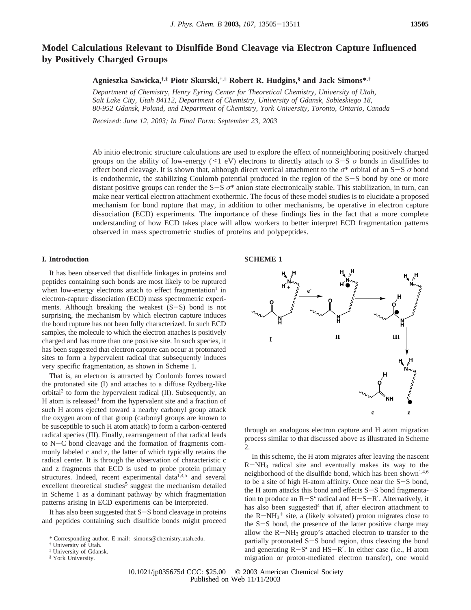# **Model Calculations Relevant to Disulfide Bond Cleavage via Electron Capture Influenced by Positively Charged Groups**

**Agnieszka Sawicka,†,‡ Piotr Skurski,†,‡ Robert R. Hudgins,§ and Jack Simons\*,†**

*Department of Chemistry, Henry Eyring Center for Theoretical Chemistry, University of Utah, Salt Lake City, Utah 84112, Department of Chemistry, Uni*V*ersity of Gdansk, Sobieskiego 18, 80-952 Gdansk, Poland, and Department of Chemistry, York Uni*V*ersity, Toronto, Ontario, Canada*

*Recei*V*ed: June 12, 2003; In Final Form: September 23, 2003*

Ab initio electronic structure calculations are used to explore the effect of nonneighboring positively charged groups on the ability of low-energy (<1 eV) electrons to directly attach to S-<sup>S</sup> *<sup>σ</sup>* bonds in disulfides to effect bond cleavage. It is shown that, although direct vertical attachment to the *<sup>σ</sup>*\* orbital of an S-<sup>S</sup> *<sup>σ</sup>* bond is endothermic, the stabilizing Coulomb potential produced in the region of the S-S bond by one or more distant positive groups can render the S-<sup>S</sup> *<sup>σ</sup>*\* anion state electronically stable. This stabilization, in turn, can make near vertical electron attachment exothermic. The focus of these model studies is to elucidate a proposed mechanism for bond rupture that may, in addition to other mechanisms, be operative in electron capture dissociation (ECD) experiments. The importance of these findings lies in the fact that a more complete understanding of how ECD takes place will allow workers to better interpret ECD fragmentation patterns observed in mass spectrometric studies of proteins and polypeptides.

# **I. Introduction**

It has been observed that disulfide linkages in proteins and peptides containing such bonds are most likely to be ruptured when low-energy electrons attach to effect fragmentation<sup>1</sup> in electron-capture dissociation (ECD) mass spectrometric experiments. Although breaking the weakest  $(S-S)$  bond is not surprising, the mechanism by which electron capture induces the bond rupture has not been fully characterized. In such ECD samples, the molecule to which the electron attaches is positively charged and has more than one positive site. In such species, it has been suggested that electron capture can occur at protonated sites to form a hypervalent radical that subsequently induces very specific fragmentation, as shown in Scheme 1.

That is, an electron is attracted by Coulomb forces toward the protonated site (I) and attaches to a diffuse Rydberg-like orbital<sup>2</sup> to form the hypervalent radical  $(II)$ . Subsequently, an H atom is released<sup>3</sup> from the hypervalent site and a fraction of such H atoms ejected toward a nearby carbonyl group attack the oxygen atom of that group (carbonyl groups are known to be susceptible to such H atom attack) to form a carbon-centered radical species (III). Finally, rearrangement of that radical leads to N-C bond cleavage and the formation of fragments commonly labeled c and z, the latter of which typically retains the radical center. It is through the observation of characteristic c and z fragments that ECD is used to probe protein primary structures. Indeed, recent experimental data<sup>1,4,5</sup> and several excellent theoretical studies<sup>5</sup> suggest the mechanism detailed in Scheme 1 as a dominant pathway by which fragmentation patterns arising in ECD experiments can be interpreted.

It has also been suggested that S-S bond cleavage in proteins and peptides containing such disulfide bonds might proceed





through an analogous electron capture and H atom migration process similar to that discussed above as illustrated in Scheme 2.

In this scheme, the H atom migrates after leaving the nascent  $R-NH<sub>3</sub>$  radical site and eventually makes its way to the neighborhood of the disulfide bond, which has been shown<sup>1,4,6</sup> to be a site of high H-atom affinity. Once near the S-S bond, the H atom attacks this bond and effects S-S bond fragmentation to produce an  $R-S^{\bullet}$  radical and  $H-S-R'$ . Alternatively, it has also been suggested<sup>4</sup> that if, after electron attachment to the  $R-MH_3$ <sup>+</sup> site, a (likely solvated) proton migrates close to<br>the S-S bond, the presence of the latter positive charge may the S-S bond, the presence of the latter positive charge may allow the  $R-NH_3$  group's attached electron to transfer to the partially protonated S-S bond region, thus cleaving the bond and generating R-S• and HS-R′. In either case (i.e., H atom migration or proton-mediated electron transfer), one would

10.1021/jp035675d CCC: \$25.00 © 2003 American Chemical Society Published on Web 11/11/2003

<sup>\*</sup> Corresponding author. E-mail: simons@chemistry.utah.edu.

<sup>†</sup> University of Utah.

<sup>‡</sup> University of Gdansk.

<sup>§</sup> York University.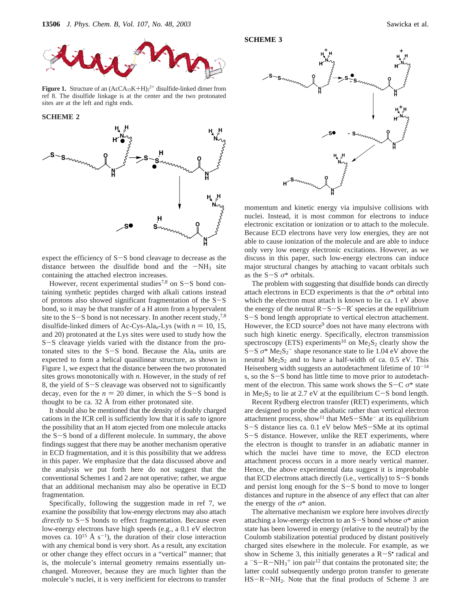

**Figure 1.** Structure of an  $(ACA_{15}K+H)_2^{2+}$  disulfide-linked dimer from ref 8. The disulfide-linkage is at the center and the two protonated ref 8. The disulfide linkage is at the center and the two protonated sites are at the left and right ends.

**SCHEME 2**



expect the efficiency of  $S-S$  bond cleavage to decrease as the distance between the disulfide bond and the  $-NH_3$  site containing the attached electron increases.

However, recent experimental studies<sup>7,8</sup> on  $S-S$  bond containing synthetic peptides charged with alkali cations instead of protons also showed significant fragmentation of the S-<sup>S</sup> bond, so it may be that transfer of a H atom from a hypervalent site to the  $S-S$  bond is not necessary. In another recent study,<sup>7,8</sup> disulfide-linked dimers of Ac-Cys-Ala<sub>n</sub>-Lys (with  $n = 10, 15$ , and 20) protonated at the Lys sites were used to study how the <sup>S</sup>-S cleavage yields varied with the distance from the protonated sites to the  $S-S$  bond. Because the Ala<sub>n</sub> units are expected to form a helical quasilinear structure, as shown in Figure 1, we expect that the distance between the two protonated sites grows monotonically with *n*. However, in the study of ref 8, the yield of S-S cleavage was observed not to significantly decay, even for the  $n = 20$  dimer, in which the S-S bond is thought to be ca. 32 Å from either protonated site.

It should also be mentioned that the density of doubly charged cations in the ICR cell is sufficiently low that it is safe to ignore the possibility that an H atom ejected from one molecule attacks the S-S bond of a different molecule. In summary, the above findings suggest that there may be another mechanism operative in ECD fragmentation, and it is this possibility that we address in this paper. We emphasize that the data discussed above and the analysis we put forth here do not suggest that the conventional Schemes 1 and 2 are not operative; rather, we argue that an additional mechanism may also be operative in ECD fragmentation.

Specifically, following the suggestion made in ref 7, we examine the possibility that low-energy electrons may also attach *directly* to S-S bonds to effect fragmentation. Because even low-energy electrons have high speeds (e.g., a 0.1 eV electron moves ca.  $10^{15}$  Å s<sup>-1</sup>), the duration of their close interaction with any chemical bond is very short. As a result, any excitation or other change they effect occurs in a "vertical" manner; that is, the molecule's internal geometry remains essentially unchanged. Moreover, because they are much lighter than the molecule's nuclei, it is very inefficient for electrons to transfer

**SCHEME 3**



momentum and kinetic energy via impulsive collisions with nuclei. Instead, it is most common for electrons to induce electronic excitation or ionization or to attach to the molecule. Because ECD electrons have very low energies, they are not able to cause ionization of the molecule and are able to induce only very low energy electronic excitations. However, as we discuss in this paper, such low-energy electrons can induce major structural changes by attaching to vacant orbitals such as the S-<sup>S</sup> *<sup>σ</sup>*\* orbitals.

The problem with suggesting that disulfide bonds can directly attach electrons in ECD experiments is that the  $\sigma^*$  orbital into which the electron must attach is known to lie ca. 1 eV above the energy of the neutral  $R-S-S-R'$  species at the equilibrium <sup>S</sup>-S bond length appropriate to vertical electron attachement. However, the ECD source<sup>9</sup> does not have many electrons with such high kinetic energy. Specifically, electron transmission spectroscopy (ETS) experiments<sup>10</sup> on  $Me<sub>2</sub>S<sub>2</sub>$  clearly show the  $S-S \sigma^*$  Me<sub>2</sub>S<sub>2</sub><sup>-</sup> shape resonance state to lie 1.04 eV above the neutral Me<sub>2</sub>S<sub>2</sub> and to have a half-width of ca. 0.5 eV. This neutral  $Me<sub>2</sub>S<sub>2</sub>$  and to have a half-width of ca. 0.5 eV. This Heisenberg width suggests an autodetachment lifetime of  $10^{-14}$ s, so the S-S bond has little time to move prior to autodetachment of the electron. This same work shows the S-<sup>C</sup> *<sup>σ</sup>*\* state in  $Me<sub>2</sub>S<sub>2</sub>$  to lie at 2.7 eV at the equilibrium C-S bond length.

Recent Rydberg electron transfer (RET) experiments, which are designed to probe the adiabatic rather than vertical electron attachment process, show<sup>11</sup> that  $MeS-SMe^-$  at its equilibrium <sup>S</sup>-S distance lies ca. 0.1 eV below MeS-SMe at its optimal <sup>S</sup>-S distance. However, unlike the RET experiments, where the electron is thought to transfer in an adiabatic manner in which the nuclei have time to move, the ECD electron attachment process occurs in a more nearly vertical manner. Hence, the above experimental data suggest it is improbable that ECD electrons attach directly (i.e., vertically) to  $S-S$  bonds and persist long enough for the S-S bond to move to longer distances and rupture in the absence of any effect that can alter the energy of the  $\sigma^*$  anion.

The alternative mechanism we explore here involves *directly* attaching a low-energy electron to an  $S-S$  bond whose  $\sigma^*$  anion state has been lowered in energy (relative to the neutral) by the Coulomb stabilization potential produced by distant positively charged sites elsewhere in the molecule. For example, as we show in Scheme 3, this initially generates a  $R-S<sup>•</sup>$  radical and  $a^{-}S-R-MH_3^+$  ion pair<sup>12</sup> that contains the protonated site; the latter could subsequently undergo proton transfer to generate latter could subsequently undergo proton transfer to generate HS-R-NH2. Note that the final products of Scheme 3 are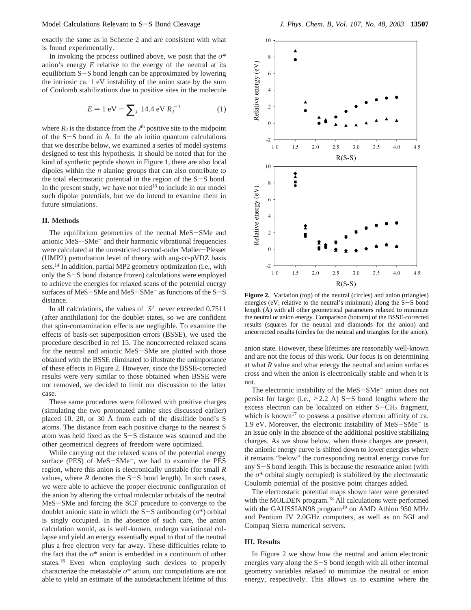exactly the same as in Scheme 2 and are consistent with what is found experimentally.

In invoking the process outlined above, we posit that the *σ*\* anion's energy *E* relative to the energy of the neutral at its equilibrium S-S bond length can be approximated by lowering the intrinsic ca. 1 eV instability of the anion state by the sum of Coulomb stabilizations due to positive sites in the molecule

$$
E = 1 \text{ eV} - \sum_{J} 14.4 \text{ eV } R_{J}^{-1}
$$
 (1)

where  $R_I$  is the distance from the  $J<sup>th</sup>$  positive site to the midpoint of the  $S-S$  bond in Å. In the ab initio quantum calculations that we describe below, we examined a series of model systems designed to test this hypothesis. It should be noted that for the kind of synthetic peptide shown in Figure 1, there are also local dipoles within the *n* alanine groups that can also contribute to the total electrostatic potential in the region of the S-S bond. In the present study, we have not tried<sup>13</sup> to include in our model such dipolar potentials, but we do intend to examine them in future simulations.

# **II. Methods**

The equilibrium geometries of the neutral MeS-SMe and anionic MeS-SMe- and their harmonic vibrational frequencies were calculated at the unrestricted second-order Møller-Plesset (UMP2) perturbation level of theory with aug-cc-pVDZ basis sets.14 In addition, partial MP2 geometry optimization (i.e., with only the S-S bond distance frozen) calculations were employed to achieve the energies for relaxed scans of the potential energy surfaces of MeS-SMe and MeS-SMe- as functions of the S-<sup>S</sup> distance.

In all calculations, the values of  $\langle S^2 \rangle$  never exceeded 0.7511 (after annihilation) for the doublet states, so we are confident that spin-contamination effects are negligible. To examine the effects of basis-set superposition errors (BSSE), we used the procedure described in ref 15. The noncorrected relaxed scans for the neutral and anionic MeS-SMe are plotted with those obtained with the BSSE eliminated to illustrate the unimportance of these effects in Figure 2. However, since the BSSE-corrected results were very similar to those obtained when BSSE were not removed, we decided to limit our discussion to the latter case.

These same procedures were followed with positive charges (simulating the two protonated amine sites discussed earlier) placed 10, 20, or 30 Å from each of the disulfide bond's S atoms. The distance from each positive charge to the nearest S atom was held fixed as the S-S distance was scanned and the other geometrical degrees of freedom were optimized.

While carrying out the relaxed scans of the potential energy surface (PES) of MeS-SMe<sup>-</sup>, we had to examine the PES region, where this anion is electronically unstable (for small *R* values, where  $R$  denotes the  $S-S$  bond length). In such cases, we were able to achieve the proper electronic configuration of the anion by altering the virtual molecular orbitals of the neutral MeS-SMe and forcing the SCF procedure to converge to the doublet anionic state in which the  $S-S$  antibonding ( $\sigma^*$ ) orbital is singly occupied. In the absence of such care, the anion calculation would, as is well-known, undergo variational collapse and yield an energy essentially equal to that of the neutral plus a free electron very far away. These difficulties relate to the fact that the *σ*\* anion is embedded in a continuum of other states.16 Even when employing such devices to properly characterize the metastable  $\sigma^*$  anion, our computations are not able to yield an estimate of the autodetachment lifetime of this



Figure 2. Variation (top) of the neutral (circles) and anion (triangles) energies (eV; relative to the neutral's minimum) along the S-S bond length (Å) with all other geometrical parameters relaxed to minimize the neutral or anion energy. Comparison (bottom) of the BSSE-corrected results (squares for the neutral and diamonds for the anion) and uncorrected results (circles for the neutral and triangles for the anion).

anion state. However, these lifetimes are reasonably well-known and are not the focus of this work. Our focus is on determining at what *R* value and what energy the neutral and anion surfaces cross and when the anion is electronically stable and when it is not.

The electronic instability of the MeS-SMe<sup>-</sup> anion does not persist for larger (i.e.,  $>2.2$  Å) S-S bond lengths where the excess electron can be localized on either  $S-CH<sub>3</sub>$  fragment, which is known<sup>17</sup> to possess a positive electron affinity of ca. 1.9 eV. Moreover, the electronic instability of MeS-SMe- is an issue only in the absence of the additional positive stabilizing charges. As we show below, when these charges are present, the anionic energy curve is shifted down to lower energies where it remains "below" the corresponding neutral energy curve for any S-S bond length. This is because the resonance anion (with the  $\sigma^*$  orbital singly occupied) is stabilized by the electrostatic Coulomb potential of the positive point charges added.

The electrostatic potential maps shown later were generated with the MOLDEN program.<sup>18</sup> All calculations were performed with the GAUSSIAN98 program<sup>19</sup> on AMD Athlon 950 MHz and Pentium IV 2.0GHz computers, as well as on SGI and Compaq Sierra numerical servers.

#### **III. Results**

In Figure 2 we show how the neutral and anion electronic energies vary along the S-S bond length with all other internal geometry variables relaxed to minimize the neutral or anion energy, respectively. This allows us to examine where the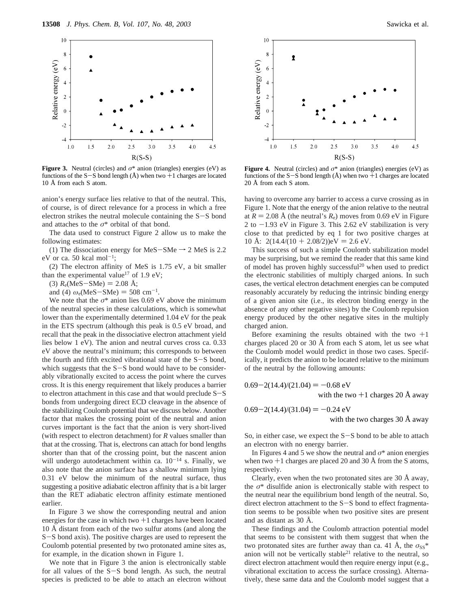

**Figure 3.** Neutral (circles) and  $\sigma^*$  anion (triangles) energies (eV) as functions of the  $S-S$  bond length ( $\AA$ ) when two  $+1$  charges are located 10 Å from each S atom.

anion's energy surface lies relative to that of the neutral. This, of course, is of direct relevance for a process in which a free electron strikes the neutral molecule containing the S-S bond and attaches to the *σ*\* orbital of that bond.

The data used to construct Figure 2 allow us to make the following estimates:

(1) The dissociation energy for MeS-SMe  $\rightarrow$  2 MeS is 2.2 eV or ca. 50 kcal mol<sup>-1</sup>;

(2) The electron affinity of MeS is 1.75 eV, a bit smaller than the experimental value<sup>17</sup> of 1.9 eV;

(3)  $R_e$ (MeS-SMe) = 2.08 Å;

and (4)  $\omega_e$ (MeS-SMe) = 508 cm<sup>-1</sup>.

We note that the  $\sigma^*$  anion lies 0.69 eV above the minimum of the neutral species in these calculations, which is somewhat lower than the experimentally determined 1.04 eV for the peak in the ETS spectrum (although this peak is 0.5 eV broad, and recall that the peak in the dissociative electron attachment yield lies below 1 eV). The anion and neutral curves cross ca. 0.33 eV above the neutral's minimum; this corresponds to between the fourth and fifth excited vibrational state of the S-S bond, which suggests that the  $S-S$  bond would have to be considerably vibrationally excited to access the point where the curves cross. It is this energy requirement that likely produces a barrier to electron attachment in this case and that would preclude S-<sup>S</sup> bonds from undergoing direct ECD cleavage in the absence of the stabilizing Coulomb potential that we discuss below. Another factor that makes the crossing point of the neutral and anion curves important is the fact that the anion is very short-lived (with respect to electron detachment) for *R* values smaller than that at the crossing. That is, electrons can attach for bond lengths shorter than that of the crossing point, but the nascent anion will undergo autodetachment within ca.  $10^{-14}$  s. Finally, we also note that the anion surface has a shallow minimum lying 0.31 eV below the minimum of the neutral surface, thus suggesting a positive adiabatic electron affinity that is a bit larger than the RET adiabatic electron affinity estimate mentioned earlier.

In Figure 3 we show the corresponding neutral and anion energies for the case in which two  $+1$  charges have been located 10 Å distant from each of the two sulfur atoms (and along the <sup>S</sup>-S bond axis). The positive charges are used to represent the Coulomb potential presented by two protonated amine sites as, for example, in the dication shown in Figure 1.

We note that in Figure 3 the anion is electronically stable for all values of the S-S bond length. As such, the neutral species is predicted to be able to attach an electron without



**Figure 4.** Neutral (circles) and  $\sigma^*$  anion (triangles) energies (eV) as functions of the  $S-S$  bond length ( $\AA$ ) when two  $+1$  charges are located 20 Å from each S atom.

having to overcome any barrier to access a curve crossing as in Figure 1. Note that the energy of the anion relative to the neutral at  $R = 2.08$  Å (the neutral's  $R_e$ ) moves from 0.69 eV in Figure 2 to  $-1.93$  eV in Figure 3. This 2.62 eV stabilization is very close to that predicted by eq 1 for two positive charges at 10 Å:  $2(14.4/(10 + 2.08/2))$ eV = 2.6 eV.

This success of such a simple Coulomb stabilization model may be surprising, but we remind the reader that this same kind of model has proven highly successful<sup>20</sup> when used to predict the electronic stabilities of multiply charged anions. In such cases, the vertical electron detachment energies can be computed reasonably accurately by reducing the intrinsic binding energy of a given anion site (i.e., its electron binding energy in the absence of any other negative sites) by the Coulomb repulsion energy produced by the other negative sites in the multiply charged anion.

Before examining the results obtained with the two  $+1$ charges placed 20 or 30 Å from each S atom, let us see what the Coulomb model would predict in those two cases. Specifically, it predicts the anion to be located relative to the minimum of the neutral by the following amounts:

 $0.69 - 2(14.4)/(21.04) = -0.68$  eV with the two  $+1$  charges 20 Å away

$$
0.69 - 2(14.4)/(31.04) = -0.24 \text{ eV}
$$
  
with the two charges 30  $\hat{\lambda}$ 

with the two charges 30 Å away

So, in either case, we expect the S-S bond to be able to attach an electron with no energy barrier.

In Figures 4 and 5 we show the neutral and  $\sigma^*$  anion energies when two  $+1$  charges are placed 20 and 30 Å from the S atoms, respectively.

Clearly, even when the two protonated sites are 30 Å away, the *σ*\* disulfide anion is electronically stable with respect to the neutral near the equilibrium bond length of the neutral. So, direct electron attachment to the S-S bond to effect fragmentation seems to be possible when two positive sites are present and as distant as 30 Å.

These findings and the Coulomb attraction potential model that seems to be consistent with them suggest that when the two protonated sites are further away than ca. 41 Å, the  $\sigma_{SS}^*$ anion will not be vertically stable<sup>21</sup> relative to the neutral, so direct electron attachment would then require energy input (e.g., vibrational excitation to access the surface crossing). Alternatively, these same data and the Coulomb model suggest that a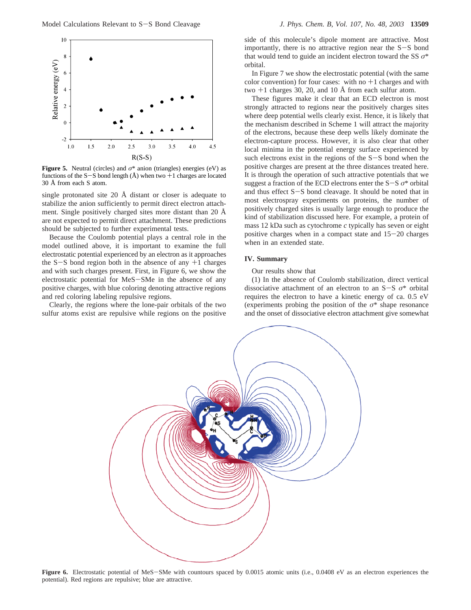

**Figure 5.** Neutral (circles) and  $\sigma^*$  anion (triangles) energies (eV) as functions of the S-S bond length  $(A)$  when two  $+1$  charges are located 30 Å from each S atom.

single protonated site 20 Å distant or closer is adequate to stabilize the anion sufficiently to permit direct electron attachment. Single positively charged sites more distant than 20 Å are not expected to permit direct attachment. These predictions should be subjected to further experimental tests.

Because the Coulomb potential plays a central role in the model outlined above, it is important to examine the full electrostatic potential experienced by an electron as it approaches the  $S-S$  bond region both in the absence of any  $+1$  charges and with such charges present. First, in Figure 6, we show the electrostatic potential for MeS-SMe in the absence of any positive charges, with blue coloring denoting attractive regions and red coloring labeling repulsive regions.

Clearly, the regions where the lone-pair orbitals of the two sulfur atoms exist are repulsive while regions on the positive

side of this molecule's dipole moment are attractive. Most importantly, there is no attractive region near the  $S-S$  bond that would tend to guide an incident electron toward the SS *σ*\* orbital.

In Figure 7 we show the electrostatic potential (with the same color convention) for four cases: with no  $+1$  charges and with two  $+1$  charges 30, 20, and 10 Å from each sulfur atom.

These figures make it clear that an ECD electron is most strongly attracted to regions near the positively charges sites where deep potential wells clearly exist. Hence, it is likely that the mechanism described in Scheme 1 will attract the majority of the electrons, because these deep wells likely dominate the electron-capture process. However, it is also clear that other local minima in the potential energy surface experienced by such electrons exist in the regions of the  $S-S$  bond when the positive charges are present at the three distances treated here. It is through the operation of such attractive potentials that we suggest a fraction of the ECD electrons enter the S-<sup>S</sup> *<sup>σ</sup>*\* orbital and thus effect S-S bond cleavage. It should be noted that in most electrospray experiments on proteins, the number of positively charged sites is usually large enough to produce the kind of stabilization discussed here. For example, a protein of mass 12 kDa such as cytochrome *c* typically has seven or eight positive charges when in a compact state and  $15-20$  charges when in an extended state.

## **IV. Summary**

Our results show that

(1) In the absence of Coulomb stabilization, direct vertical dissociative attachment of an electron to an S-<sup>S</sup> *<sup>σ</sup>*\* orbital requires the electron to have a kinetic energy of ca. 0.5 eV (experiments probing the position of the *σ*\* shape resonance and the onset of dissociative electron attachment give somewhat



Figure 6. Electrostatic potential of MeS-SMe with countours spaced by 0.0015 atomic units (i.e., 0.0408 eV as an electron experiences the potential). Red regions are repulsive; blue are attractive.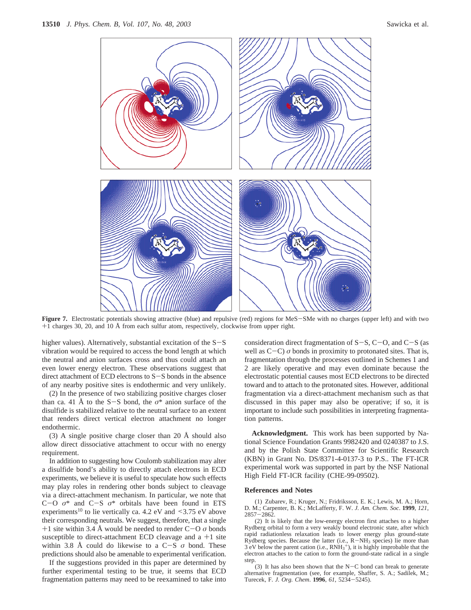

**Figure 7.** Electrostatic potentials showing attractive (blue) and repulsive (red) regions for MeS-SMe with no charges (upper left) and with two +1 charges 30, 20, and 10 Å from each sulfur atom, respectively, clockwise from upper right.

higher values). Alternatively, substantial excitation of the  $S-S$ vibration would be required to access the bond length at which the neutral and anion surfaces cross and thus could attach an even lower energy electron. These observations suggest that direct attachment of ECD electrons to S-S bonds in the absence of any nearby positive sites is endothermic and very unlikely.

(2) In the presence of two stabilizing positive charges closer than ca. 41 Å to the S-S bond, the  $\sigma^*$  anion surface of the disulfide is stabilized relative to the neutral surface to an extent that renders direct vertical electron attachment no longer endothermic.

(3) A single positive charge closer than 20 Å should also allow direct dissociative attachment to occur with no energy requirement.

In addition to suggesting how Coulomb stabilization may alter a disulfide bond's ability to directly attach electrons in ECD experiments, we believe it is useful to speculate how such effects may play roles in rendering other bonds subject to cleavage via a direct-attachment mechanism. In particular, we note that <sup>C</sup>-<sup>O</sup> *<sup>σ</sup>*\* and C-<sup>S</sup> *<sup>σ</sup>*\* orbitals have been found in ETS experiments<sup>10</sup> to lie vertically ca. 4.2 eV and  $\leq$ 3.75 eV above their corresponding neutrals. We suggest, therefore, that a single  $+1$  site within 3.4 Å would be needed to render  $C-O \sigma$  bonds susceptible to direct-attachment ECD cleavage and  $a + 1$  site within 3.8 Å could do likewise to a  $C-S$   $\sigma$  bond. These predictions should also be amenable to experimental verification.

If the suggestions provided in this paper are determined by further experimental testing to be true, it seems that ECD fragmentation patterns may need to be reexamined to take into consideration direct fragmentation of  $S-S$ ,  $C-O$ , and  $C-S$  (as well as  $C-C$ )  $\sigma$  bonds in proximity to protonated sites. That is, fragmentation through the processes outlined in Schemes 1 and 2 are likely operative and may even dominate because the electrostatic potential causes most ECD electrons to be directed toward and to attach to the protonated sites. However, additional fragmentation via a direct-attachment mechanism such as that discussed in this paper may also be operative; if so, it is important to include such possibilities in interpreting fragmentation patterns.

**Acknowledgment.** This work has been supported by National Science Foundation Grants 9982420 and 0240387 to J.S. and by the Polish State Committee for Scientific Research (KBN) in Grant No. DS/8371-4-0137-3 to P.S.. The FT-ICR experimental work was supported in part by the NSF National High Field FT-ICR facility (CHE-99-09502).

# **References and Notes**

(1) Zubarev, R.; Kruger, N.; Fridriksson, E. K.; Lewis, M. A.; Horn, D. M.; Carpenter, B. K.; McLafferty, F. W. *J. Am. Chem. Soc*. **1999**, *121*,  $2857 - 2862$ 

(2) It is likely that the low-energy electron first attaches to a higher Rydberg orbital to form a very weakly bound electronic state, after which rapid radiationless relaxation leads to lower energy plus ground-state Rydberg species. Because the latter (i.e.,  $R-NH_3$  species) lie more than  $3 \text{ eV}$  below the parent cation (i.e.,  $RNH_3^+$ ), it is highly improbable that the electron attaches to the cation to form the ground-state radical in a single step.

(3) It has also been shown that the  $N-C$  bond can break to generate alternative fragmentation (see, for example, Shaffer, S. A.; Sadilek, M.; Turecek, F. *J. Org. Chem*. **<sup>1996</sup>**, *<sup>61</sup>*, 5234-5245).